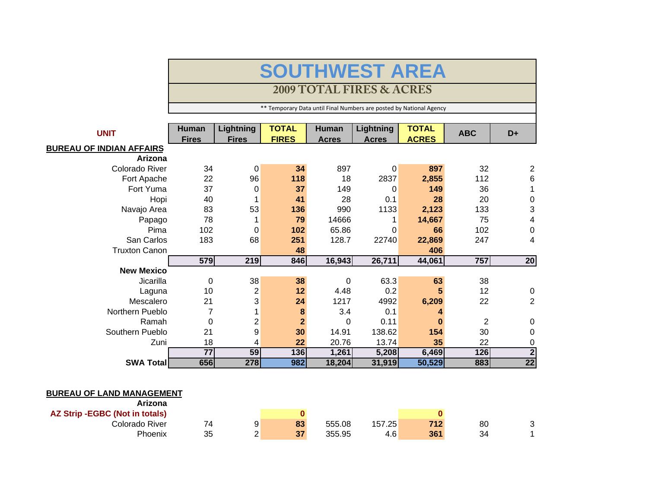## **SOUTHWEST AREA**

## **2009 TOTAL FIRES & ACRES**

\*\* Temporary Data until Final Numbers are posted by National Agency

| <b>UNIT</b>                     | <b>Human</b><br><b>Fires</b> | <b>Lightning</b><br><b>Fires</b> | <b>TOTAL</b><br><b>FIRES</b> | <b>Human</b><br><b>Acres</b> | <b>Lightning</b><br><b>Acres</b> | <b>TOTAL</b><br><b>ACRES</b> | <b>ABC</b> | D+               |
|---------------------------------|------------------------------|----------------------------------|------------------------------|------------------------------|----------------------------------|------------------------------|------------|------------------|
| <u>BUREAU OF INDIAN AFFAIRS</u> |                              |                                  |                              |                              |                                  |                              |            |                  |
| Arizona                         |                              |                                  |                              |                              |                                  |                              |            |                  |
| Colorado River                  | 34                           | 0                                | 34                           | 897                          | 0                                | 897                          | 32         | $\overline{2}$   |
| Fort Apache                     | 22                           | 96                               | 118                          | 18                           | 2837                             | 2,855                        | 112        | 6                |
| Fort Yuma                       | 37                           | 0                                | 37                           | 149                          | 0                                | 149                          | 36         |                  |
| Hopi                            | 40                           |                                  | 41                           | 28                           | 0.1                              | 28                           | 20         | $\mathbf 0$      |
| Navajo Area                     | 83                           | 53                               | 136                          | 990                          | 1133                             | 2,123                        | 133        | 3                |
| Papago                          | 78                           |                                  | 79                           | 14666                        |                                  | 14,667                       | 75         | 4                |
| Pima                            | 102                          | 0                                | 102                          | 65.86                        | 0                                | 66                           | 102        | $\boldsymbol{0}$ |
| San Carlos                      | 183                          | 68                               | 251                          | 128.7                        | 22740                            | 22,869                       | 247        | 4                |
| <b>Truxton Canon</b>            |                              |                                  | 48                           |                              |                                  | 406                          |            |                  |
|                                 | 579                          | 219                              | 846                          | 16,943                       | 26,711                           | 44,061                       | 757        | 20               |
| <b>New Mexico</b>               |                              |                                  |                              |                              |                                  |                              |            |                  |
| Jicarilla                       | $\Omega$                     | 38                               | 38                           | $\Omega$                     | 63.3                             | 63                           | 38         |                  |
| Laguna                          | 10                           | $\overline{2}$                   | 12                           | 4.48                         | 0.2                              | 5                            | 12         | $\mathbf 0$      |
| Mescalero                       | 21                           | 3                                | 24                           | 1217                         | 4992                             | 6,209                        | 22         | $\overline{2}$   |
| Northern Pueblo                 |                              |                                  | 8                            | 3.4                          | 0.1                              |                              |            |                  |
| Ramah                           | 0                            | $\overline{2}$                   | $\mathbf{2}$                 | $\Omega$                     | 0.11                             |                              | 2          | $\mathbf 0$      |
| Southern Pueblo                 | 21                           | 9                                | 30                           | 14.91                        | 138.62                           | 154                          | 30         | $\mathbf 0$      |
| Zuni                            | 18                           | 4                                | 22                           | 20.76                        | 13.74                            | 35                           | 22         | 0                |
|                                 | $\overline{77}$              | 59                               | 136                          | 1,261                        | 5,208                            | 6,469                        | 126        | $\overline{2}$   |
| <b>SWA Total</b>                | 656                          | 278                              | 982                          | 18,204                       | 31,919                           | 50,529                       | 883        | $\overline{22}$  |

## **BUREAU OF LAND MANAGEMENT**

| Arizona                        |    |               |    |        |        |     |    |   |
|--------------------------------|----|---------------|----|--------|--------|-----|----|---|
| AZ Strip -EGBC (Not in totals) |    |               |    |        |        |     |    |   |
| Colorado River                 | 74 | 9             | 83 | 555.08 | 157.25 | 712 | 80 | ັ |
| Phoenix                        | 35 | ⌒<br><u>_</u> | 37 | 355.95 | 4.6    | 361 | 34 |   |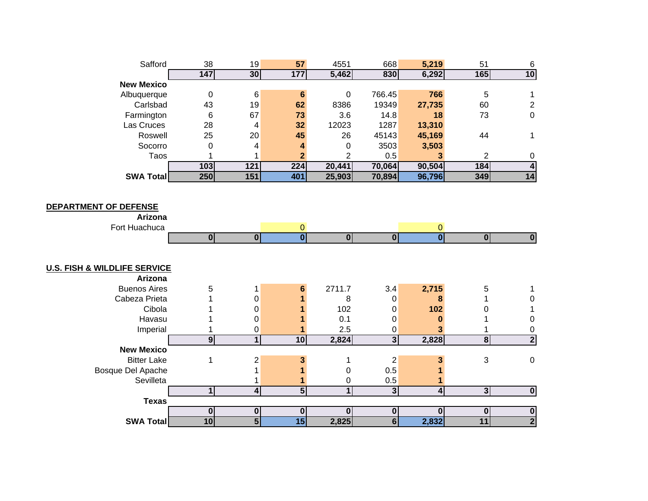| Safford                                 | 38               | 19                      | 57                      | 4551           | 668                     | 5,219                   | 51                      | $\,6\,$                 |
|-----------------------------------------|------------------|-------------------------|-------------------------|----------------|-------------------------|-------------------------|-------------------------|-------------------------|
|                                         | $\overline{147}$ | 30                      | 177                     | 5,462          | 830                     | 6,292                   | 165                     | 10                      |
| <b>New Mexico</b>                       |                  |                         |                         |                |                         |                         |                         |                         |
| Albuquerque                             | $\pmb{0}$        | $\,6$                   | $6\phantom{1}6$         | 0              | 766.45                  | 766                     | 5                       | 1                       |
| Carlsbad                                | 43               | 19                      | 62                      | 8386           | 19349                   | 27,735                  | 60                      | $\overline{c}$          |
| Farmington                              | $6\phantom{1}6$  | 67                      | 73                      | 3.6            | 14.8                    | 18                      | 73                      | $\pmb{0}$               |
| Las Cruces                              | 28               | 4                       | 32                      | 12023          | 1287                    | 13,310                  |                         |                         |
| Roswell                                 | 25               | 20                      | 45                      | 26             | 45143                   | 45,169                  | 44                      | 1                       |
| Socorro                                 | 0                | 4                       | 4                       | 0              | 3503                    | 3,503                   |                         |                         |
| Taos                                    | 1                | 1                       | $\mathbf{2}$            | 2              | 0.5                     | 3                       | $\overline{c}$          | 0                       |
|                                         | 103              | $\overline{121}$        | 224                     | 20,441         | 70,064                  | 90,504                  | 184                     | $\overline{\mathbf{4}}$ |
| SWA Total                               | 250              | 151                     | 401                     | 25,903         | 70,894                  | 96,796                  | 349                     | 14                      |
|                                         |                  |                         |                         |                |                         |                         |                         |                         |
|                                         |                  |                         |                         |                |                         |                         |                         |                         |
| <b>DEPARTMENT OF DEFENSE</b>            |                  |                         |                         |                |                         |                         |                         |                         |
| Arizona                                 |                  |                         |                         |                |                         |                         |                         |                         |
| Fort Huachuca                           |                  |                         | $\overline{0}$          |                |                         | $\mathbf{0}$            |                         |                         |
|                                         | 0                | $\overline{0}$          | $\overline{\mathbf{0}}$ | 0              | 0                       | $\overline{\mathbf{0}}$ | $\overline{0}$          | $\overline{\mathbf{0}}$ |
|                                         |                  |                         |                         |                |                         |                         |                         |                         |
|                                         |                  |                         |                         |                |                         |                         |                         |                         |
| <b>U.S. FISH &amp; WILDLIFE SERVICE</b> |                  |                         |                         |                |                         |                         |                         |                         |
| Arizona                                 |                  |                         |                         |                |                         |                         |                         |                         |
| <b>Buenos Aires</b>                     | 5                | 1                       | 6                       | 2711.7         | 3.4                     | 2,715                   | 5                       | 1                       |
| Cabeza Prieta                           |                  | $\mathbf 0$             |                         | 8              | $\mathbf 0$             | 8                       |                         | 0                       |
| Cibola                                  |                  | $\mathbf 0$             |                         | 102            | 0                       | 102                     | 0                       | 1                       |
| Havasu                                  |                  | $\mathbf 0$             |                         | 0.1            | 0                       | $\bf{0}$                |                         | $\boldsymbol{0}$        |
| Imperial                                |                  | 0                       |                         | 2.5            | 0                       | 3                       |                         | $\pmb{0}$               |
|                                         | $\overline{9}$   | $\overline{1}$          | 10                      | 2,824          | $\overline{3}$          | 2,828                   | $\overline{\mathbf{8}}$ | $\overline{\mathbf{2}}$ |
| <b>New Mexico</b>                       |                  |                         |                         |                |                         |                         |                         |                         |
| <b>Bitter Lake</b>                      | 1                | $\overline{\mathbf{c}}$ | 3                       | 1              | $\overline{2}$          | 3                       | 3                       | $\pmb{0}$               |
| Bosque Del Apache                       |                  | 1                       | 1                       | 0              | 0.5                     |                         |                         |                         |
| Sevilleta                               |                  | 1                       | 1                       | 0              | 0.5                     |                         |                         |                         |
|                                         | $\overline{1}$   | $\overline{4}$          | $\overline{5}$          | $\overline{1}$ | $\overline{\mathbf{3}}$ | $\overline{4}$          | دى                      | $\overline{\mathbf{0}}$ |
| <b>Texas</b>                            |                  |                         |                         |                |                         |                         |                         |                         |
|                                         | $\mathbf 0$      | $\mathbf{0}$            | $\bf{0}$                | $\bf{0}$       | $\mathbf 0$             | $\bf{0}$                | $\bf{0}$                | $\pmb{0}$               |
| <b>SWA Total</b>                        | 10               | 5                       | $\overline{15}$         | 2,825          | 6                       | 2,832                   | 11                      | $\overline{2}$          |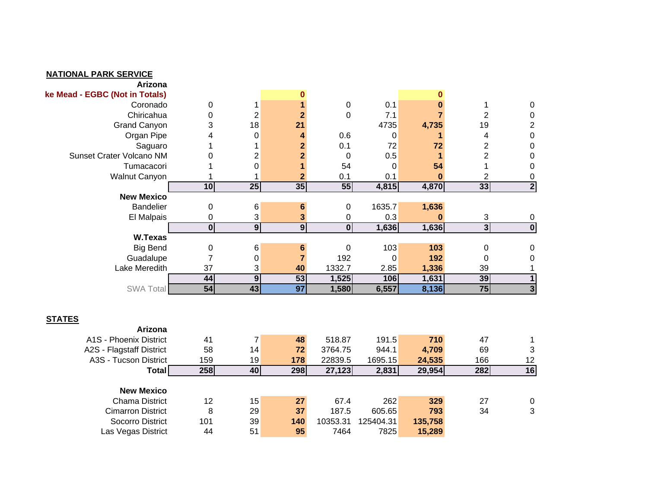| <b>NATIONAL PARK SERVICE</b>                      |                         |                  |                 |                         |           |                |                 |                         |
|---------------------------------------------------|-------------------------|------------------|-----------------|-------------------------|-----------|----------------|-----------------|-------------------------|
| Arizona                                           |                         |                  |                 |                         |           |                |                 |                         |
| ke Mead - EGBC (Not in Totals)                    |                         |                  | $\bf{0}$        |                         |           | $\bf{0}$       |                 |                         |
| Coronado                                          | $\pmb{0}$               | 1                |                 | $\pmb{0}$               | 0.1       | $\bf{0}$       | 1               | $\boldsymbol{0}$        |
| Chiricahua                                        | 0                       | $\overline{2}$   | $\mathbf{2}$    | $\mathbf 0$             | 7.1       | $\overline{7}$ | $\overline{2}$  | $\pmb{0}$               |
| <b>Grand Canyon</b>                               | 3                       | 18               | 21              |                         | 4735      | 4,735          | 19              | $\overline{c}$          |
| Organ Pipe                                        | 4                       | $\mathbf 0$      | 4               | 0.6                     | 0         | 1              | 4               | $\pmb{0}$               |
| Saguaro                                           |                         | $\mathbf 1$      | $\mathbf{2}$    | 0.1                     | 72        | 72             | $\overline{2}$  | $\boldsymbol{0}$        |
| Sunset Crater Volcano NM                          | 0                       | $\mathbf 2$      | $\overline{2}$  | $\mathbf 0$             | 0.5       | 1              | $\overline{2}$  | $\pmb{0}$               |
| Tumacacori                                        |                         | $\boldsymbol{0}$ |                 | 54                      | 0         | 54             | 1               | $\boldsymbol{0}$        |
| <b>Walnut Canyon</b>                              |                         | 1                | $\mathbf{2}$    | 0.1                     | 0.1       | $\bf{0}$       | 2               | $\mathbf 0$             |
|                                                   | 10                      | 25               | 35              | 55                      | 4,815     | 4,870          | 33              | $\overline{2}$          |
| <b>New Mexico</b>                                 |                         |                  |                 |                         |           |                |                 |                         |
| <b>Bandelier</b>                                  | 0                       | 6                | $6\phantom{1}6$ | 0                       | 1635.7    | 1,636          |                 |                         |
| El Malpais                                        | 0                       | 3                | 3               | 0                       | 0.3       | $\bf{0}$       | 3               | $\mathbf 0$             |
|                                                   | $\overline{\mathbf{0}}$ | $\overline{9}$   | $\overline{9}$  | $\overline{\mathbf{0}}$ | 1,636     | 1,636          | 3 <sup>1</sup>  | $\overline{\mathbf{0}}$ |
| W.Texas                                           |                         |                  |                 |                         |           |                |                 |                         |
| <b>Big Bend</b>                                   | $\pmb{0}$               | 6                | 6               | $\pmb{0}$               | 103       | 103            | $\pmb{0}$       | $\pmb{0}$               |
| Guadalupe                                         | 7                       | 0                | $\overline{7}$  | 192                     | 0         | 192            | 0               | $\mathbf 0$             |
| Lake Meredith                                     | 37                      | 3                | 40              | 1332.7                  | 2.85      | 1,336          | 39              |                         |
|                                                   | 44                      | $\overline{9}$   | 53              | 1,525                   | 106       | 1,631          | 39              | $\overline{\mathbf{1}}$ |
| SWA Total                                         | 54                      | 43               | $\overline{97}$ | 1,580                   | 6,557     | 8,136          | $\overline{75}$ | $\overline{\mathbf{3}}$ |
|                                                   |                         |                  |                 |                         |           |                |                 |                         |
| <b>STATES</b><br>Arizona                          |                         |                  |                 |                         |           |                |                 |                         |
| A1S - Phoenix District                            | 41                      | $\overline{7}$   | 48              | 518.87                  | 191.5     | 710            | 47              |                         |
|                                                   |                         |                  | 72              |                         | 944.1     |                |                 | 1                       |
| A2S - Flagstaff District<br>A3S - Tucson District | 58<br>159               | 14<br>19         | 178             | 3764.75<br>22839.5      | 1695.15   | 4,709          | 69<br>166       | 3<br>12                 |
|                                                   |                         |                  |                 |                         |           | 24,535         |                 |                         |
| Total                                             | 258                     | 40               | 298             | 27,123                  | 2,831     | 29,954         | 282             | 16                      |
| <b>New Mexico</b>                                 |                         |                  |                 |                         |           |                |                 |                         |
| <b>Chama District</b>                             | 12                      | 15               | 27              | 67.4                    | 262       | 329            | 27              | $\boldsymbol{0}$        |
| <b>Cimarron District</b>                          | 8                       | 29               | 37              | 187.5                   | 605.65    | 793            | 34              | 3                       |
| Socorro District                                  | 101                     | 39               | 140             | 10353.31                | 125404.31 | 135,758        |                 |                         |
| Las Vegas District                                | 44                      | 51               | 95              | 7464                    | 7825      | 15,289         |                 |                         |